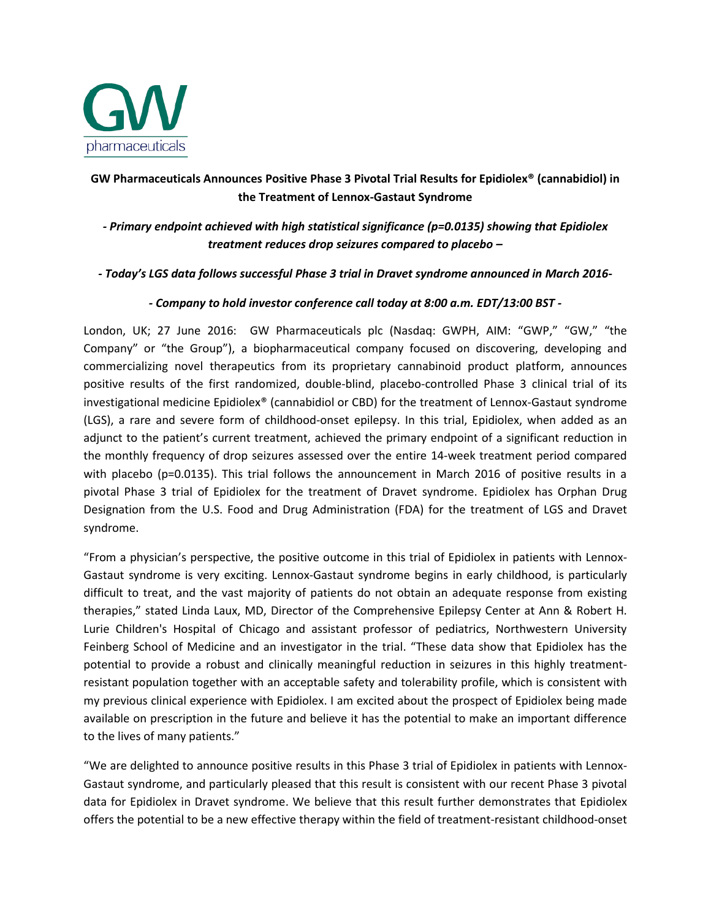

# **GW Pharmaceuticals Announces Positive Phase 3 Pivotal Trial Results for Epidiolex® (cannabidiol) in the Treatment of Lennox-Gastaut Syndrome**

*- Primary endpoint achieved with high statistical significance (p=0.0135) showing that Epidiolex treatment reduces drop seizures compared to placebo –*

### *- Today's LGS data follows successful Phase 3 trial in Dravet syndrome announced in March 2016-*

### *- Company to hold investor conference call today at 8:00 a.m. EDT/13:00 BST -*

London, UK; 27 June 2016: GW Pharmaceuticals plc (Nasdaq: GWPH, AIM: "GWP," "GW," "the Company" or "the Group"), a biopharmaceutical company focused on discovering, developing and commercializing novel therapeutics from its proprietary cannabinoid product platform, announces positive results of the first randomized, double-blind, placebo-controlled Phase 3 clinical trial of its investigational medicine Epidiolex® (cannabidiol or CBD) for the treatment of Lennox-Gastaut syndrome (LGS), a rare and severe form of childhood-onset epilepsy. In this trial, Epidiolex, when added as an adjunct to the patient's current treatment, achieved the primary endpoint of a significant reduction in the monthly frequency of drop seizures assessed over the entire 14-week treatment period compared with placebo (p=0.0135). This trial follows the announcement in March 2016 of positive results in a pivotal Phase 3 trial of Epidiolex for the treatment of Dravet syndrome. Epidiolex has Orphan Drug Designation from the U.S. Food and Drug Administration (FDA) for the treatment of LGS and Dravet syndrome.

"From a physician's perspective, the positive outcome in this trial of Epidiolex in patients with Lennox-Gastaut syndrome is very exciting. Lennox-Gastaut syndrome begins in early childhood, is particularly difficult to treat, and the vast majority of patients do not obtain an adequate response from existing therapies," stated Linda Laux, MD, Director of the Comprehensive Epilepsy Center at Ann & Robert H. Lurie Children's Hospital of Chicago and assistant professor of pediatrics, Northwestern University Feinberg School of Medicine and an investigator in the trial. "These data show that Epidiolex has the potential to provide a robust and clinically meaningful reduction in seizures in this highly treatmentresistant population together with an acceptable safety and tolerability profile, which is consistent with my previous clinical experience with Epidiolex. I am excited about the prospect of Epidiolex being made available on prescription in the future and believe it has the potential to make an important difference to the lives of many patients."

"We are delighted to announce positive results in this Phase 3 trial of Epidiolex in patients with Lennox-Gastaut syndrome, and particularly pleased that this result is consistent with our recent Phase 3 pivotal data for Epidiolex in Dravet syndrome. We believe that this result further demonstrates that Epidiolex offers the potential to be a new effective therapy within the field of treatment-resistant childhood-onset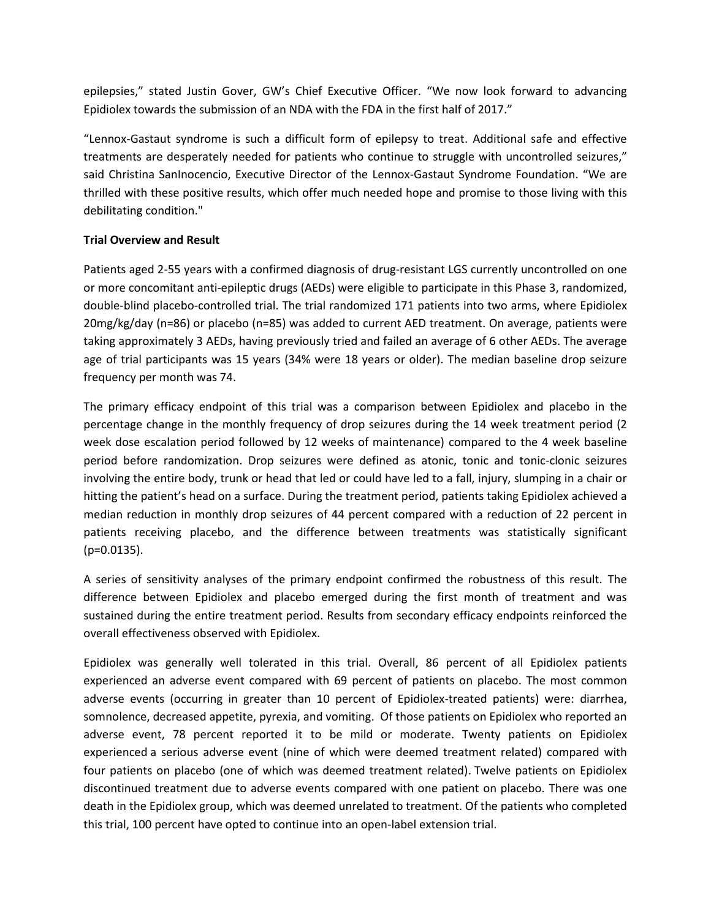epilepsies," stated Justin Gover, GW's Chief Executive Officer. "We now look forward to advancing Epidiolex towards the submission of an NDA with the FDA in the first half of 2017."

"Lennox-Gastaut syndrome is such a difficult form of epilepsy to treat. Additional safe and effective treatments are desperately needed for patients who continue to struggle with uncontrolled seizures," said Christina SanInocencio, Executive Director of the Lennox-Gastaut Syndrome Foundation. "We are thrilled with these positive results, which offer much needed hope and promise to those living with this debilitating condition."

### **Trial Overview and Result**

Patients aged 2-55 years with a confirmed diagnosis of drug-resistant LGS currently uncontrolled on one or more concomitant anti-epileptic drugs (AEDs) were eligible to participate in this Phase 3, randomized, double-blind placebo-controlled trial. The trial randomized 171 patients into two arms, where Epidiolex 20mg/kg/day (n=86) or placebo (n=85) was added to current AED treatment. On average, patients were taking approximately 3 AEDs, having previously tried and failed an average of 6 other AEDs. The average age of trial participants was 15 years (34% were 18 years or older). The median baseline drop seizure frequency per month was 74.

The primary efficacy endpoint of this trial was a comparison between Epidiolex and placebo in the percentage change in the monthly frequency of drop seizures during the 14 week treatment period (2 week dose escalation period followed by 12 weeks of maintenance) compared to the 4 week baseline period before randomization. Drop seizures were defined as atonic, tonic and tonic-clonic seizures involving the entire body, trunk or head that led or could have led to a fall, injury, slumping in a chair or hitting the patient's head on a surface. During the treatment period, patients taking Epidiolex achieved a median reduction in monthly drop seizures of 44 percent compared with a reduction of 22 percent in patients receiving placebo, and the difference between treatments was statistically significant  $(p=0.0135)$ .

A series of sensitivity analyses of the primary endpoint confirmed the robustness of this result. The difference between Epidiolex and placebo emerged during the first month of treatment and was sustained during the entire treatment period. Results from secondary efficacy endpoints reinforced the overall effectiveness observed with Epidiolex.

Epidiolex was generally well tolerated in this trial. Overall, 86 percent of all Epidiolex patients experienced an adverse event compared with 69 percent of patients on placebo. The most common adverse events (occurring in greater than 10 percent of Epidiolex-treated patients) were: diarrhea, somnolence, decreased appetite, pyrexia, and vomiting. Of those patients on Epidiolex who reported an adverse event, 78 percent reported it to be mild or moderate. Twenty patients on Epidiolex experienced a serious adverse event (nine of which were deemed treatment related) compared with four patients on placebo (one of which was deemed treatment related). Twelve patients on Epidiolex discontinued treatment due to adverse events compared with one patient on placebo. There was one death in the Epidiolex group, which was deemed unrelated to treatment. Of the patients who completed this trial, 100 percent have opted to continue into an open-label extension trial.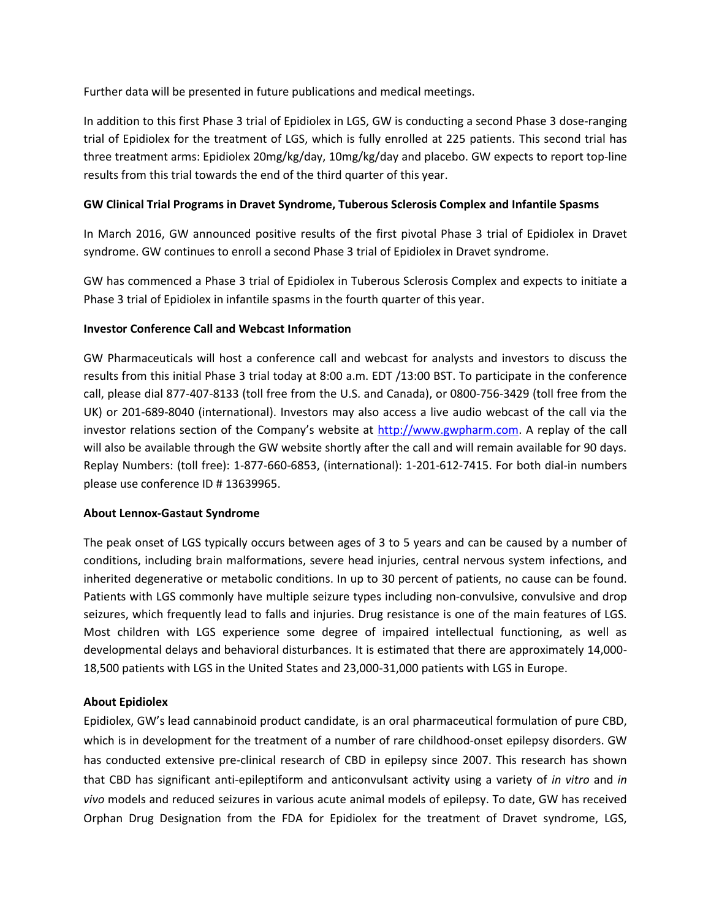Further data will be presented in future publications and medical meetings.

In addition to this first Phase 3 trial of Epidiolex in LGS, GW is conducting a second Phase 3 dose-ranging trial of Epidiolex for the treatment of LGS, which is fully enrolled at 225 patients. This second trial has three treatment arms: Epidiolex 20mg/kg/day, 10mg/kg/day and placebo. GW expects to report top-line results from this trial towards the end of the third quarter of this year.

## **GW Clinical Trial Programs in Dravet Syndrome, Tuberous Sclerosis Complex and Infantile Spasms**

In March 2016, GW announced positive results of the first pivotal Phase 3 trial of Epidiolex in Dravet syndrome. GW continues to enroll a second Phase 3 trial of Epidiolex in Dravet syndrome.

GW has commenced a Phase 3 trial of Epidiolex in Tuberous Sclerosis Complex and expects to initiate a Phase 3 trial of Epidiolex in infantile spasms in the fourth quarter of this year.

### **Investor Conference Call and Webcast Information**

GW Pharmaceuticals will host a conference call and webcast for analysts and investors to discuss the results from this initial Phase 3 trial today at 8:00 a.m. EDT /13:00 BST. To participate in the conference call, please dial 877-407-8133 (toll free from the U.S. and Canada), or 0800-756-3429 (toll free from the UK) or 201-689-8040 (international). Investors may also access a live audio webcast of the call via the investor relations section of the Company's website at [http://www.gwpharm.com.](http://www.gwpharm.com/) A replay of the call will also be available through the GW website shortly after the call and will remain available for 90 days. Replay Numbers: (toll free): 1-877-660-6853, (international): 1-201-612-7415. For both dial-in numbers please use conference ID # 13639965.

#### **About Lennox-Gastaut Syndrome**

The peak onset of LGS typically occurs between ages of 3 to 5 years and can be caused by a number of conditions, including brain malformations, severe head injuries, central nervous system infections, and inherited degenerative or metabolic conditions. In up to 30 percent of patients, no cause can be found. Patients with LGS commonly have multiple seizure types including non-convulsive, convulsive and drop seizures, which frequently lead to falls and injuries. Drug resistance is one of the main features of LGS. Most children with LGS experience some degree of impaired intellectual functioning, as well as developmental delays and behavioral disturbances. It is estimated that there are approximately 14,000- 18,500 patients with LGS in the United States and 23,000-31,000 patients with LGS in Europe.

# **About Epidiolex**

Epidiolex, GW's lead cannabinoid product candidate, is an oral pharmaceutical formulation of pure CBD, which is in development for the treatment of a number of rare childhood-onset epilepsy disorders. GW has conducted extensive pre-clinical research of CBD in epilepsy since 2007. This research has shown that CBD has significant anti-epileptiform and anticonvulsant activity using a variety of *in vitro* and *in vivo* models and reduced seizures in various acute animal models of epilepsy. To date, GW has received Orphan Drug Designation from the FDA for Epidiolex for the treatment of Dravet syndrome, LGS,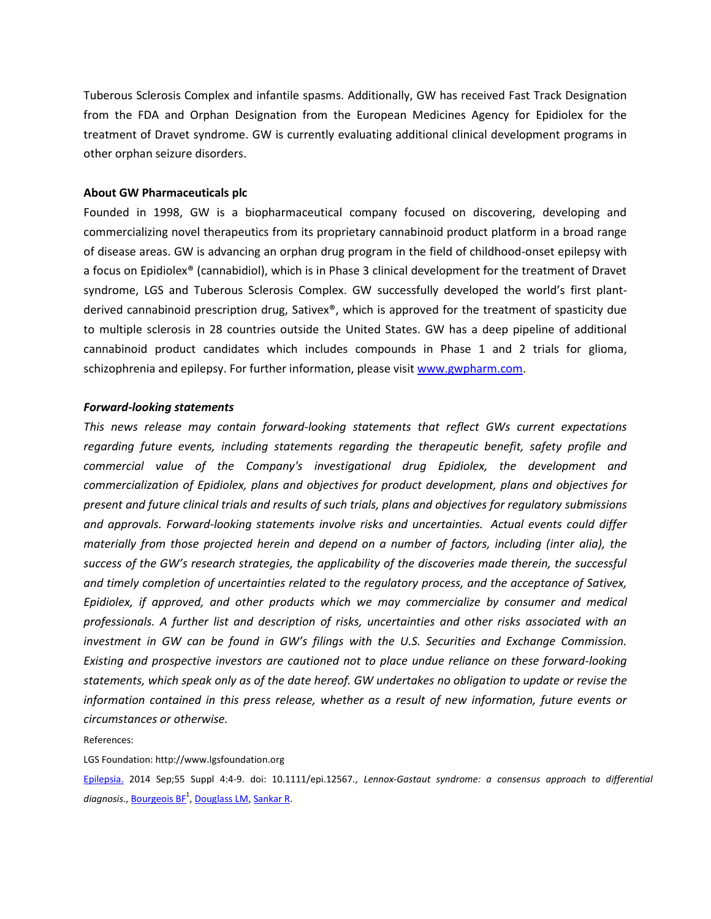Tuberous Sclerosis Complex and infantile spasms. Additionally, GW has received Fast Track Designation from the FDA and Orphan Designation from the European Medicines Agency for Epidiolex for the treatment of Dravet syndrome. GW is currently evaluating additional clinical development programs in other orphan seizure disorders.

#### **About GW Pharmaceuticals plc**

Founded in 1998, GW is a biopharmaceutical company focused on discovering, developing and commercializing novel therapeutics from its proprietary cannabinoid product platform in a broad range of disease areas. GW is advancing an orphan drug program in the field of childhood-onset epilepsy with a focus on Epidiolex® (cannabidiol), which is in Phase 3 clinical development for the treatment of Dravet syndrome, LGS and Tuberous Sclerosis Complex. GW successfully developed the world's first plantderived cannabinoid prescription drug, Sativex®, which is approved for the treatment of spasticity due to multiple sclerosis in 28 countries outside the United States. GW has a deep pipeline of additional cannabinoid product candidates which includes compounds in Phase 1 and 2 trials for glioma, schizophrenia and epilepsy. For further information, please visit [www.gwpharm.com.](http://www.gwpharm.com/)

#### *Forward-looking statements*

*This news release may contain forward-looking statements that reflect GWs current expectations regarding future events, including statements regarding the therapeutic benefit, safety profile and commercial value of the Company's investigational drug Epidiolex, the development and commercialization of Epidiolex, plans and objectives for product development, plans and objectives for present and future clinical trials and results of such trials, plans and objectives for regulatory submissions and approvals. Forward-looking statements involve risks and uncertainties. Actual events could differ materially from those projected herein and depend on a number of factors, including (inter alia), the success of the GW's research strategies, the applicability of the discoveries made therein, the successful and timely completion of uncertainties related to the regulatory process, and the acceptance of Sativex, Epidiolex, if approved, and other products which we may commercialize by consumer and medical professionals. A further list and description of risks, uncertainties and other risks associated with an investment in GW can be found in GW's filings with the U.S. Securities and Exchange Commission. Existing and prospective investors are cautioned not to place undue reliance on these forward-looking statements, which speak only as of the date hereof. GW undertakes no obligation to update or revise the information contained in this press release, whether as a result of new information, future events or circumstances or otherwise.*

References:

LGS Foundation: http://www.lgsfoundation.org

[Epilepsia.](http://www.ncbi.nlm.nih.gov/pubmed/25284032) 2014 Sep;55 Suppl 4:4-9. doi: 10.1111/epi.12567., *Lennox-Gastaut syndrome: a consensus approach to differential diagnosis.,* <u>Bourgeois BF<sup>1</sup>, Douglass LM</u>, <u>Sankar R</u>.